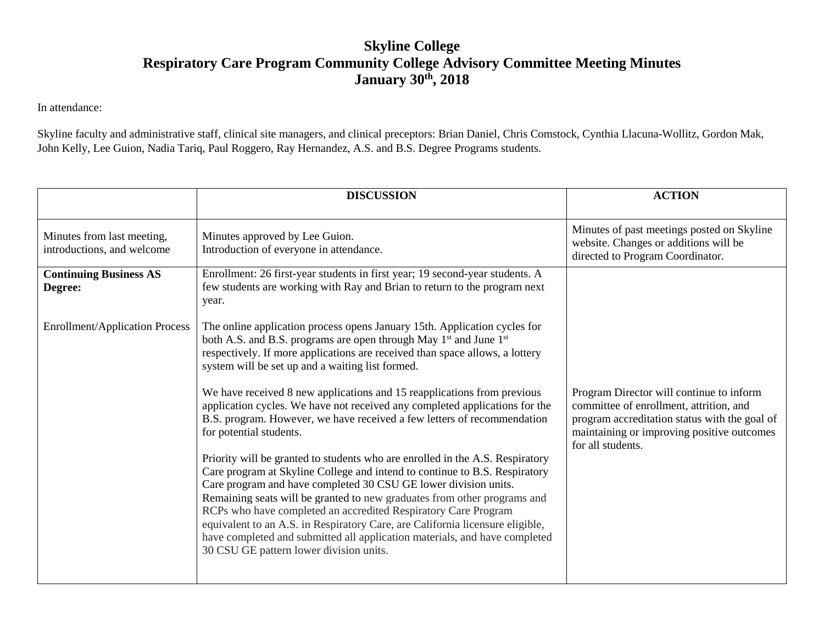## **Skyline College Respiratory Care Program Community College Advisory Committee Meeting Minutes January 30th , 2018**

In attendance:

Skyline faculty and administrative staff, clinical site managers, and clinical preceptors: Brian Daniel, Chris Comstock, Cynthia Llacuna-Wollitz, Gordon Mak, John Kelly, Lee Guion, Nadia Tariq, Paul Roggero, Ray Hernandez, A.S. and B.S. Degree Programs students.

|                                                          | <b>DISCUSSION</b>                                                                                                                                                                                                                                                                                                                                                                                                                                                                                                                                                                      | <b>ACTION</b>                                                                                                           |
|----------------------------------------------------------|----------------------------------------------------------------------------------------------------------------------------------------------------------------------------------------------------------------------------------------------------------------------------------------------------------------------------------------------------------------------------------------------------------------------------------------------------------------------------------------------------------------------------------------------------------------------------------------|-------------------------------------------------------------------------------------------------------------------------|
| Minutes from last meeting,<br>introductions, and welcome | Minutes approved by Lee Guion.<br>Introduction of everyone in attendance.                                                                                                                                                                                                                                                                                                                                                                                                                                                                                                              | Minutes of past meetings posted on Skyline<br>website. Changes or additions will be<br>directed to Program Coordinator. |
| <b>Continuing Business AS</b><br>Degree:                 | Enrollment: 26 first-year students in first year; 19 second-year students. A<br>few students are working with Ray and Brian to return to the program next<br>year.                                                                                                                                                                                                                                                                                                                                                                                                                     |                                                                                                                         |
| <b>Enrollment/Application Process</b>                    | The online application process opens January 15th. Application cycles for<br>both A.S. and B.S. programs are open through May 1 <sup>st</sup> and June 1 <sup>st</sup><br>respectively. If more applications are received than space allows, a lottery<br>system will be set up and a waiting list formed.<br>We have received 8 new applications and 15 reapplications from previous<br>application cycles. We have not received any completed applications for the                                                                                                                   | Program Director will continue to inform<br>committee of enrollment, attrition, and                                     |
|                                                          | B.S. program. However, we have received a few letters of recommendation<br>for potential students.                                                                                                                                                                                                                                                                                                                                                                                                                                                                                     | program accreditation status with the goal of<br>maintaining or improving positive outcomes<br>for all students.        |
|                                                          | Priority will be granted to students who are enrolled in the A.S. Respiratory<br>Care program at Skyline College and intend to continue to B.S. Respiratory<br>Care program and have completed 30 CSU GE lower division units.<br>Remaining seats will be granted to new graduates from other programs and<br>RCPs who have completed an accredited Respiratory Care Program<br>equivalent to an A.S. in Respiratory Care, are California licensure eligible,<br>have completed and submitted all application materials, and have completed<br>30 CSU GE pattern lower division units. |                                                                                                                         |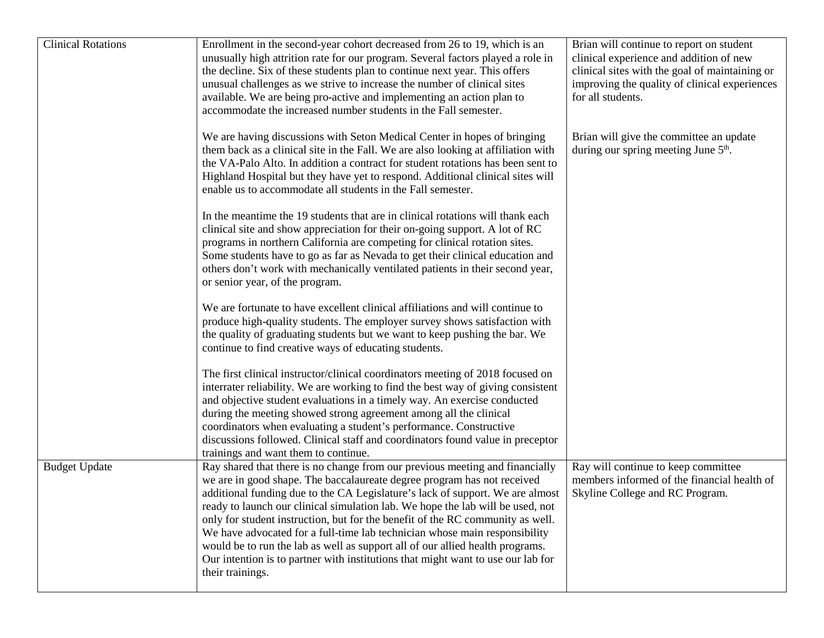| <b>Clinical Rotations</b> | Enrollment in the second-year cohort decreased from 26 to 19, which is an<br>unusually high attrition rate for our program. Several factors played a role in<br>the decline. Six of these students plan to continue next year. This offers<br>unusual challenges as we strive to increase the number of clinical sites<br>available. We are being pro-active and implementing an action plan to<br>accommodate the increased number students in the Fall semester.                                                                                                                                                                                                                  | Brian will continue to report on student<br>clinical experience and addition of new<br>clinical sites with the goal of maintaining or<br>improving the quality of clinical experiences<br>for all students. |
|---------------------------|-------------------------------------------------------------------------------------------------------------------------------------------------------------------------------------------------------------------------------------------------------------------------------------------------------------------------------------------------------------------------------------------------------------------------------------------------------------------------------------------------------------------------------------------------------------------------------------------------------------------------------------------------------------------------------------|-------------------------------------------------------------------------------------------------------------------------------------------------------------------------------------------------------------|
|                           | We are having discussions with Seton Medical Center in hopes of bringing<br>them back as a clinical site in the Fall. We are also looking at affiliation with<br>the VA-Palo Alto. In addition a contract for student rotations has been sent to<br>Highland Hospital but they have yet to respond. Additional clinical sites will<br>enable us to accommodate all students in the Fall semester.                                                                                                                                                                                                                                                                                   | Brian will give the committee an update<br>during our spring meeting June 5 <sup>th</sup> .                                                                                                                 |
|                           | In the meantime the 19 students that are in clinical rotations will thank each<br>clinical site and show appreciation for their on-going support. A lot of RC<br>programs in northern California are competing for clinical rotation sites.<br>Some students have to go as far as Nevada to get their clinical education and<br>others don't work with mechanically ventilated patients in their second year,<br>or senior year, of the program.                                                                                                                                                                                                                                    |                                                                                                                                                                                                             |
|                           | We are fortunate to have excellent clinical affiliations and will continue to<br>produce high-quality students. The employer survey shows satisfaction with<br>the quality of graduating students but we want to keep pushing the bar. We<br>continue to find creative ways of educating students.                                                                                                                                                                                                                                                                                                                                                                                  |                                                                                                                                                                                                             |
|                           | The first clinical instructor/clinical coordinators meeting of 2018 focused on<br>interrater reliability. We are working to find the best way of giving consistent<br>and objective student evaluations in a timely way. An exercise conducted<br>during the meeting showed strong agreement among all the clinical<br>coordinators when evaluating a student's performance. Constructive<br>discussions followed. Clinical staff and coordinators found value in preceptor<br>trainings and want them to continue.                                                                                                                                                                 |                                                                                                                                                                                                             |
| <b>Budget Update</b>      | Ray shared that there is no change from our previous meeting and financially<br>we are in good shape. The baccalaureate degree program has not received<br>additional funding due to the CA Legislature's lack of support. We are almost<br>ready to launch our clinical simulation lab. We hope the lab will be used, not<br>only for student instruction, but for the benefit of the RC community as well.<br>We have advocated for a full-time lab technician whose main responsibility<br>would be to run the lab as well as support all of our allied health programs.<br>Our intention is to partner with institutions that might want to use our lab for<br>their trainings. | Ray will continue to keep committee<br>members informed of the financial health of<br>Skyline College and RC Program.                                                                                       |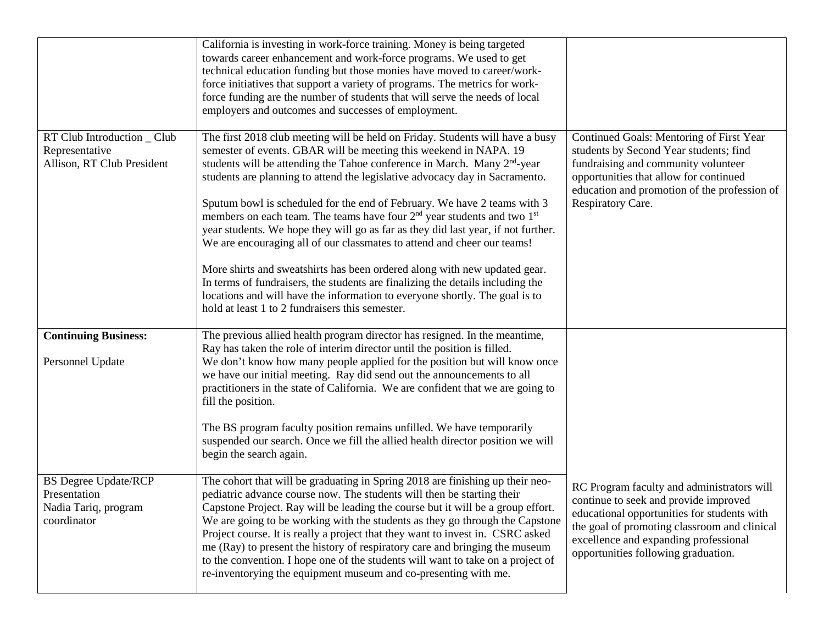|                                                                                    | California is investing in work-force training. Money is being targeted<br>towards career enhancement and work-force programs. We used to get<br>technical education funding but those monies have moved to career/work-<br>force initiatives that support a variety of programs. The metrics for work-<br>force funding are the number of students that will serve the needs of local<br>employers and outcomes and successes of employment.                                                                                                                                                                                                                                                                                                                                                                                                                                                                                                         |                                                                                                                                                                                                                                                                    |
|------------------------------------------------------------------------------------|-------------------------------------------------------------------------------------------------------------------------------------------------------------------------------------------------------------------------------------------------------------------------------------------------------------------------------------------------------------------------------------------------------------------------------------------------------------------------------------------------------------------------------------------------------------------------------------------------------------------------------------------------------------------------------------------------------------------------------------------------------------------------------------------------------------------------------------------------------------------------------------------------------------------------------------------------------|--------------------------------------------------------------------------------------------------------------------------------------------------------------------------------------------------------------------------------------------------------------------|
| RT Club Introduction _ Club<br>Representative<br>Allison, RT Club President        | The first 2018 club meeting will be held on Friday. Students will have a busy<br>semester of events. GBAR will be meeting this weekend in NAPA. 19<br>students will be attending the Tahoe conference in March. Many 2 <sup>nd</sup> -year<br>students are planning to attend the legislative advocacy day in Sacramento.<br>Sputum bowl is scheduled for the end of February. We have 2 teams with 3<br>members on each team. The teams have four $2nd$ year students and two $1st$<br>year students. We hope they will go as far as they did last year, if not further.<br>We are encouraging all of our classmates to attend and cheer our teams!<br>More shirts and sweatshirts has been ordered along with new updated gear.<br>In terms of fundraisers, the students are finalizing the details including the<br>locations and will have the information to everyone shortly. The goal is to<br>hold at least 1 to 2 fundraisers this semester. | Continued Goals: Mentoring of First Year<br>students by Second Year students; find<br>fundraising and community volunteer<br>opportunities that allow for continued<br>education and promotion of the profession of<br>Respiratory Care.                           |
| <b>Continuing Business:</b><br>Personnel Update                                    | The previous allied health program director has resigned. In the meantime,<br>Ray has taken the role of interim director until the position is filled.<br>We don't know how many people applied for the position but will know once<br>we have our initial meeting. Ray did send out the announcements to all<br>practitioners in the state of California. We are confident that we are going to<br>fill the position.<br>The BS program faculty position remains unfilled. We have temporarily<br>suspended our search. Once we fill the allied health director position we will<br>begin the search again.                                                                                                                                                                                                                                                                                                                                          |                                                                                                                                                                                                                                                                    |
| <b>BS Degree Update/RCP</b><br>Presentation<br>Nadia Tariq, program<br>coordinator | The cohort that will be graduating in Spring 2018 are finishing up their neo-<br>pediatric advance course now. The students will then be starting their<br>Capstone Project. Ray will be leading the course but it will be a group effort.<br>We are going to be working with the students as they go through the Capstone<br>Project course. It is really a project that they want to invest in. CSRC asked<br>me (Ray) to present the history of respiratory care and bringing the museum<br>to the convention. I hope one of the students will want to take on a project of<br>re-inventorying the equipment museum and co-presenting with me.                                                                                                                                                                                                                                                                                                     | RC Program faculty and administrators will<br>continue to seek and provide improved<br>educational opportunities for students with<br>the goal of promoting classroom and clinical<br>excellence and expanding professional<br>opportunities following graduation. |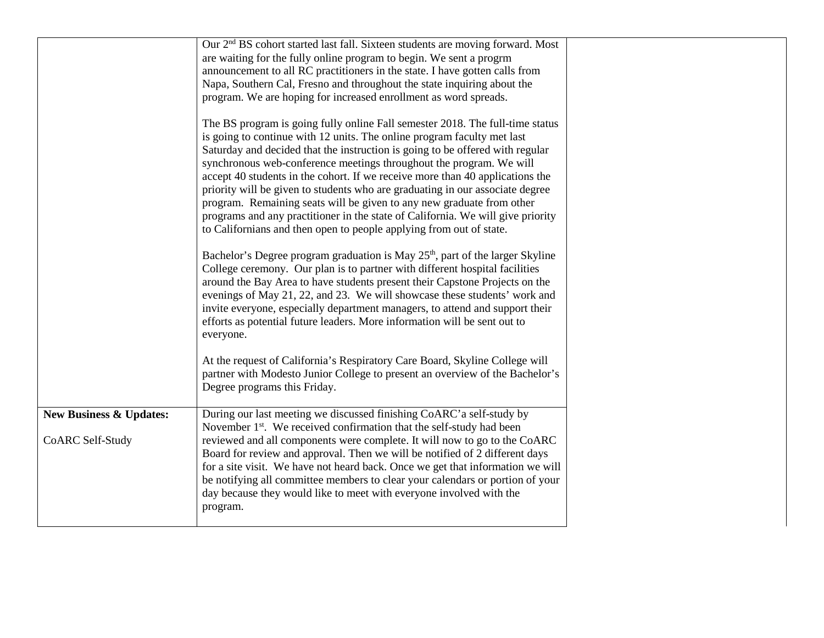|                                    | Our 2 <sup>nd</sup> BS cohort started last fall. Sixteen students are moving forward. Most                                                                                                                                                                                                                                                                                                                                                                                                                                                                                                                                                                                                                            |  |
|------------------------------------|-----------------------------------------------------------------------------------------------------------------------------------------------------------------------------------------------------------------------------------------------------------------------------------------------------------------------------------------------------------------------------------------------------------------------------------------------------------------------------------------------------------------------------------------------------------------------------------------------------------------------------------------------------------------------------------------------------------------------|--|
|                                    | are waiting for the fully online program to begin. We sent a progrm                                                                                                                                                                                                                                                                                                                                                                                                                                                                                                                                                                                                                                                   |  |
|                                    | announcement to all RC practitioners in the state. I have gotten calls from                                                                                                                                                                                                                                                                                                                                                                                                                                                                                                                                                                                                                                           |  |
|                                    | Napa, Southern Cal, Fresno and throughout the state inquiring about the                                                                                                                                                                                                                                                                                                                                                                                                                                                                                                                                                                                                                                               |  |
|                                    | program. We are hoping for increased enrollment as word spreads.                                                                                                                                                                                                                                                                                                                                                                                                                                                                                                                                                                                                                                                      |  |
|                                    | The BS program is going fully online Fall semester 2018. The full-time status<br>is going to continue with 12 units. The online program faculty met last<br>Saturday and decided that the instruction is going to be offered with regular<br>synchronous web-conference meetings throughout the program. We will<br>accept 40 students in the cohort. If we receive more than 40 applications the<br>priority will be given to students who are graduating in our associate degree<br>program. Remaining seats will be given to any new graduate from other<br>programs and any practitioner in the state of California. We will give priority<br>to Californians and then open to people applying from out of state. |  |
|                                    | Bachelor's Degree program graduation is May 25 <sup>th</sup> , part of the larger Skyline<br>College ceremony. Our plan is to partner with different hospital facilities<br>around the Bay Area to have students present their Capstone Projects on the<br>evenings of May 21, 22, and 23. We will showcase these students' work and<br>invite everyone, especially department managers, to attend and support their<br>efforts as potential future leaders. More information will be sent out to<br>everyone.                                                                                                                                                                                                        |  |
|                                    | At the request of California's Respiratory Care Board, Skyline College will<br>partner with Modesto Junior College to present an overview of the Bachelor's<br>Degree programs this Friday.                                                                                                                                                                                                                                                                                                                                                                                                                                                                                                                           |  |
| <b>New Business &amp; Updates:</b> | During our last meeting we discussed finishing CoARC'a self-study by<br>November 1 <sup>st</sup> . We received confirmation that the self-study had been                                                                                                                                                                                                                                                                                                                                                                                                                                                                                                                                                              |  |
| CoARC Self-Study                   | reviewed and all components were complete. It will now to go to the CoARC<br>Board for review and approval. Then we will be notified of 2 different days<br>for a site visit. We have not heard back. Once we get that information we will<br>be notifying all committee members to clear your calendars or portion of your<br>day because they would like to meet with everyone involved with the<br>program.                                                                                                                                                                                                                                                                                                        |  |